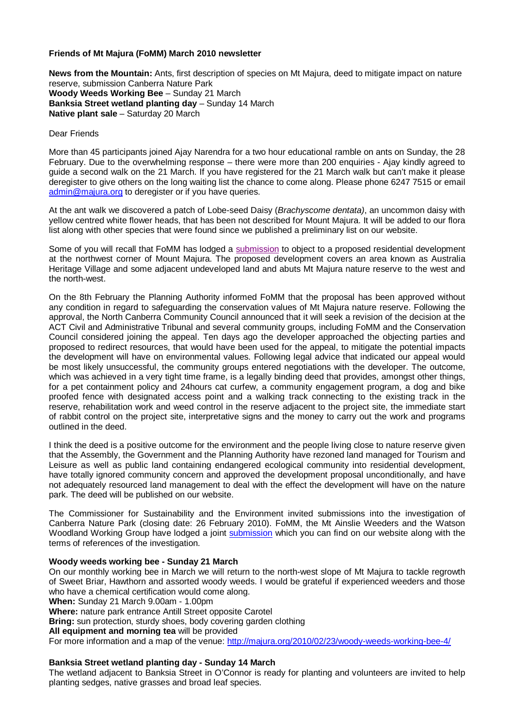# **Friends of Mt Majura (FoMM) March 2010 newsletter**

**News from the Mountain:** Ants, first description of species on Mt Majura, deed to mitigate impact on nature reserve, submission Canberra Nature Park **Woody Weeds Working Bee** – Sunday 21 March **Banksia Street wetland planting day** – Sunday 14 March **Native plant sale** – Saturday 20 March

### Dear Friends

More than 45 participants joined Ajay Narendra for a two hour educational ramble on ants on Sunday, the 28 February. Due to the overwhelming response – there were more than 200 enquiries - Ajay kindly agreed to guide a second walk on the 21 March. If you have registered for the 21 March walk but can't make it please deregister to give others on the long waiting list the chance to come along. Please phone 6247 7515 or email admin@majura.org to deregister or if you have queries.

At the ant walk we discovered a patch of Lobe-seed Daisy (*Brachyscome dentata)*, an uncommon daisy with yellow centred white flower heads, that has been not described for Mount Majura. It will be added to our flora list along with other species that were found since we published a preliminary list on our website.

Some of you will recall that FoMM has lodged a submission to object to a proposed residential development at the northwest corner of Mount Majura. The proposed development covers an area known as Australia Heritage Village and some adjacent undeveloped land and abuts Mt Majura nature reserve to the west and the north-west.

On the 8th February the Planning Authority informed FoMM that the proposal has been approved without any condition in regard to safeguarding the conservation values of Mt Majura nature reserve. Following the approval, the North Canberra Community Council announced that it will seek a revision of the decision at the ACT Civil and Administrative Tribunal and several community groups, including FoMM and the Conservation Council considered joining the appeal. Ten days ago the developer approached the objecting parties and proposed to redirect resources, that would have been used for the appeal, to mitigate the potential impacts the development will have on environmental values. Following legal advice that indicated our appeal would be most likely unsuccessful, the community groups entered negotiations with the developer. The outcome, which was achieved in a very tight time frame, is a legally binding deed that provides, amongst other things, for a pet containment policy and 24hours cat curfew, a community engagement program, a dog and bike proofed fence with designated access point and a walking track connecting to the existing track in the reserve, rehabilitation work and weed control in the reserve adjacent to the project site, the immediate start of rabbit control on the project site, interpretative signs and the money to carry out the work and programs outlined in the deed.

I think the deed is a positive outcome for the environment and the people living close to nature reserve given that the Assembly, the Government and the Planning Authority have rezoned land managed for Tourism and Leisure as well as public land containing endangered ecological community into residential development, have totally ignored community concern and approved the development proposal unconditionally, and have not adequately resourced land management to deal with the effect the development will have on the nature park. The deed will be published on our website.

The Commissioner for Sustainability and the Environment invited submissions into the investigation of Canberra Nature Park (closing date: 26 February 2010). FoMM, the Mt Ainslie Weeders and the Watson Woodland Working Group have lodged a joint submission which you can find on our website along with the terms of references of the investigation.

### **Woody weeds working bee - Sunday 21 March**

On our monthly working bee in March we will return to the north-west slope of Mt Majura to tackle regrowth of Sweet Briar, Hawthorn and assorted woody weeds. I would be grateful if experienced weeders and those who have a chemical certification would come along. **When:** Sunday 21 March 9.00am - 1.00pm **Where:** nature park entrance Antill Street opposite Carotel **Bring:** sun protection, sturdy shoes, body covering garden clothing **All equipment and morning tea** will be provided For more information and a map of the venue: http://majura.org/2010/02/23/woody-weeds-working-bee-4/

### **Banksia Street wetland planting day - Sunday 14 March**

The wetland adjacent to Banksia Street in O'Connor is ready for planting and volunteers are invited to help planting sedges, native grasses and broad leaf species.